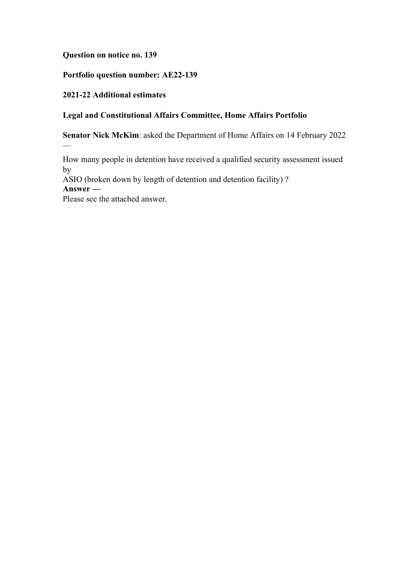**Question on notice no. 139**

**Portfolio question number: AE22-139**

**2021-22 Additional estimates**

# **Legal and Constitutional Affairs Committee, Home Affairs Portfolio**

**Senator Nick McKim**: asked the Department of Home Affairs on 14 February 2022

How many people in detention have received a qualified security assessment issued by

ASIO (broken down by length of detention and detention facility) ?

**Answer —**

—

Please see the attached answer.